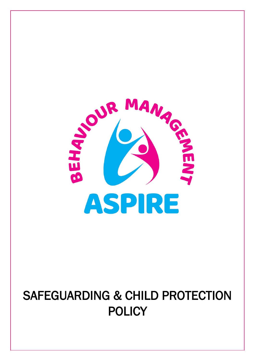

# SAFEGUARDING & CHILD PROTECTION POLICY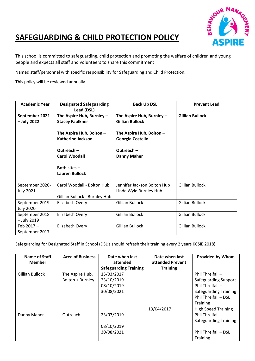

## **SAFEGUARDING & CHILD PROTECTION POLICY**

This school is committed to safeguarding, child protection and promoting the welfare of children and young people and expects all staff and volunteers to share this commitment

Named staff/personnel with specific responsibility for Safeguarding and Child Protection.

This policy will be reviewed annually.

| <b>Academic Year</b>                 | <b>Designated Safeguarding</b><br>Lead (DSL)                | <b>Back Up DSL</b>                                    | <b>Prevent Lead</b>    |
|--------------------------------------|-------------------------------------------------------------|-------------------------------------------------------|------------------------|
| September 2021<br>- July 2022        | The Aspire Hub, Burnley $-$<br><b>Stacey Faulkner</b>       | The Aspire Hub, Burnley -<br><b>Gillian Bullock</b>   | <b>Gillian Bullock</b> |
|                                      | The Aspire Hub, Bolton -<br><b>Katherine Jackson</b>        | The Aspire Hub, Bolton -<br>Georgia Costello          |                        |
|                                      | Outreach-<br><b>Carol Woodall</b>                           | Outreach-<br><b>Danny Maher</b>                       |                        |
|                                      | Both sites -<br><b>Lauren Bullock</b>                       |                                                       |                        |
| September 2020-<br><b>July 2021</b>  | Carol Woodall - Bolton Hub<br>Gillian Bullock - Burnley Hub | Jennifer Jackson Bolton Hub<br>Linda Wyld Burnley Hub | Gillian Bullock        |
| September 2019 -<br><b>July 2020</b> | Elizabeth Overy                                             | <b>Gillian Bullock</b>                                | <b>Gillian Bullock</b> |
| September 2018<br>- July 2019        | Elizabeth Overy                                             | <b>Gillian Bullock</b>                                | <b>Gillian Bullock</b> |
| Feb 2017-<br>September 2017          | Elizabeth Overy                                             | <b>Gillian Bullock</b>                                | <b>Gillian Bullock</b> |

Safeguarding for Designated Staff in School (DSL's should refresh their training every 2 years KCSIE 2018)

| <b>Name of Staff</b><br><b>Member</b> | <b>Area of Business</b>             | Date when last<br>attended<br><b>Safeguarding Training</b> | Date when last<br>attended Prevent<br><b>Training</b> | <b>Provided by Whom</b>                                                                                                                   |
|---------------------------------------|-------------------------------------|------------------------------------------------------------|-------------------------------------------------------|-------------------------------------------------------------------------------------------------------------------------------------------|
| <b>Gillian Bullock</b>                | The Aspire Hub,<br>Bolton + Burnley | 15/03/2017<br>23/10/2019<br>08/10/2019<br>30/08/2021       |                                                       | Phil Threlfall $-$<br>Safeguarding Support<br>Phil Threlfall -<br><b>Safeguarding Training</b><br>Phil Threlfall - DSL<br><b>Training</b> |
| Danny Maher                           | Outreach                            | 23/07/2019<br>08/10/2019<br>30/08/2021                     | 13/04/2017                                            | <b>High Speed Training</b><br>Phil Threlfall -<br><b>Safeguarding Training</b><br>Phil Threlfall - DSL<br><b>Training</b>                 |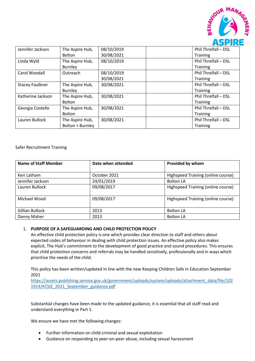

| Jennifer Jackson       | The Aspire Hub,  | 08/10/2019                         | Phil Threlfall - DSL |
|------------------------|------------------|------------------------------------|----------------------|
|                        | <b>Bolton</b>    | 30/08/2021                         | Training             |
| Linda Wyld             | The Aspire Hub,  | 08/10/2019<br>Phil Threlfall - DSL |                      |
|                        | Burnley          |                                    | <b>Training</b>      |
| Carol Woodall          | Outreach         | 08/10/2019                         | Phil Threlfall - DSL |
|                        |                  | 30/08/2021                         | Training             |
| <b>Stacey Faulkner</b> | The Aspire Hub,  | 30/08/2021                         | Phil Threlfall - DSL |
|                        | Burnley          |                                    | Training             |
| Katherine Jackson      | The Aspire Hub,  | 30/08/2021                         | Phil Threlfall - DSL |
|                        | <b>Bolton</b>    |                                    | Training             |
| Georgia Costello       | The Aspire Hub,  | 30/08/2021                         | Phil Threlfall - DSL |
|                        | Bolton           |                                    | Training             |
| Lauren Bullock         | The Aspire Hub,  | 30/08/2021                         | Phil Threlfall - DSL |
|                        | Bolton + Burnley |                                    | Training             |

Safer Recruitment Training

| <b>Name of Staff Member</b> | Date when attended | Provided by whom                   |
|-----------------------------|--------------------|------------------------------------|
| Keri Latham                 | October 2021       | Highspeed Training (online course) |
| Jennifer Jackson            | 24/01/2019         | <b>Bolton LA</b>                   |
| Lauren Bullock              | 09/08/2017         | Highspeed Training (online course) |
| Michael Wood                | 09/08/2017         | Highspeed Training (online course) |
| Gillian Bullock             | 2013               | <b>Bolton LA</b>                   |
| Danny Maher                 | 2013               | <b>Bolton LA</b>                   |

#### 1. **PURPOSE OF A SAFEGUARDING AND CHILD PROTECTION POLICY**

An effective child protection policy is one which provides clear direction to staff and others about expected codes of behaviour in dealing with child protection issues. An effective policy also makes explicit, The Hub's commitment to the development of good practice and sound procedures. This ensures that child protection concerns and referrals may be handled sensitively, professionally and in ways which prioritise the needs of the child.

This policy has been written/updated in line with the new Keeping Children Safe in Education September 2021

[https://assets.publishing.service.gov.uk/government/uploads/system/uploads/attachment\\_data/file/102](https://assets.publishing.service.gov.uk/government/uploads/system/uploads/attachment_data/file/1021914/KCSIE_2021_September_guidance.pdf) [1914/KCSIE\\_2021\\_September\\_guidance.pdf](https://assets.publishing.service.gov.uk/government/uploads/system/uploads/attachment_data/file/1021914/KCSIE_2021_September_guidance.pdf)

Substantial changes have been made to the updated guidance, it is essential that all staff read and understand everything in Part 1.

We ensure we have met the following changes:

- Further information on child criminal and sexual exploitation
- Guidance on responding to peer-on-peer abuse, including sexual harassment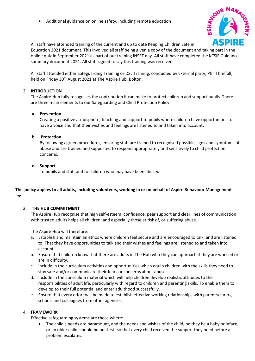• Additional guidance on online safety, including remote education



All staff have attended training of the current and up to date Keeping Children Safe in

Education 2021 document. This involved all staff being given a copy of the document and taking part in the online quiz in September 2021 as part of our training INSET day. All staff have completed the KCSiE Guidance summary document 2021. All staff signed to say this training was received.

All staff attended either Safeguarding Training or DSL Training, conducted by External party, Phil Threlfall, held on Friday 30<sup>th</sup> August 2021 at The Aspire Hub, Bolton.

#### 2. **INTRODUCTION**

The Aspire Hub fully recognises the contribution it can make to protect children and support pupils. There are three main elements to our Safeguarding and Child Protection Policy.

#### **a. Prevention**

Creating a positive atmosphere, teaching and support to pupils where children have opportunities to have a voice and that their wishes and feelings are listened to and taken into account.

#### **b. Protection**

By following agreed procedures, ensuring staff are trained to recognised possible signs and symptoms of abuse and are trained and supported to respond appropriately and sensitively to child protection concerns.

#### **c. Support**

To pupils and staff and to children who may have been abused.

#### **This policy applies to all adults, including volunteers, working in or on behalf of Aspire Behaviour Management Ltd.**

#### 3. **THE HUB COMMITMENT**

The Aspire Hub recognise that high self-esteem, confidence, peer support and clear lines of communication with trusted adults helps all children, and especially those at risk of, or suffering abuse.

The Aspire Hub will therefore:

- a. Establish and maintain an ethos where children feel secure and are encouraged to talk, and are listened to. That they have opportunities to talk and their wishes and feelings are listened to and taken into account.
- b. Ensure that children know that there are adults in The Hub who they can approach if they are worried or are in difficulty.
- c. Include in the curriculum activities and opportunities which equip children with the skills they need to stay safe and/or communicate their fears or concerns about abuse.
- d. Include in the curriculum material which will help children develop realistic attitudes to the responsibilities of adult life, particularly with regard to children and parenting skills. To enable them to develop to their full potential and enter adulthood successfully.
- e. Ensure that every effort will be made to establish effective working relationships with parents/carers, schools and colleagues from other agencies.

#### 4. **FRAMEWORK**

Effective safeguarding systems are those where:

• The child's needs are paramount, and the needs and wishes of the child, be they be a baby or inface, or an older child, should be put first, so that every child received the support they need before a problem escalates.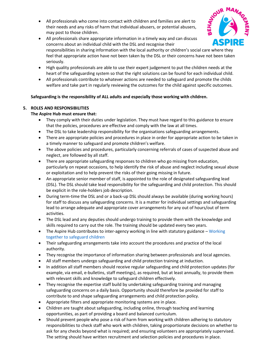• All professionals who come into contact with children and families are alert to their needs and any risks of harm that individual abusers, or potential abusers, may post to those children.



- All professionals share appropriate information in a timely way and can discuss concerns about an individual child with the DSL and recognise their responsibilities in sharing information with the local authority or children's social care where they feel that appropriate action have not been taken by the DSL or their concerns have not been taken seriously.
- High quality professionals are able to use their expert judgement to put the children needs at the heart of the safeguarding system so that the right solutions can be found for each individual child.
- All professionals contribute to whatever actions are needed to safeguard and promote the childs welfare and take part in regularly reviewing the outcomes for the child against specific outcomes.

#### **Safeguarding is the responsibility of ALL adults and especially those working with children.**

#### **5. ROLES AND RESPONSIBILITIES**

#### **The Aspire Hub must ensure that:**

- They comply with their duties under legislation. They must have regard to this guidance to ensure that the policies, procedures are effective and comply with the law at all times.
- The DSL to take leadership responsibility for the organisations safeguarding arrangements.
- There are appropriate policies and procedures in place in order for appropriate action to be taken in a timely manner to safeguard and promote children's welfare.
- The above policies and procedures, particularly concerning referrals of cases of suspected abuse and neglect, are followed by all staff.
- There are appropriate safeguarding responses to children who go missing from education, particularly on repeat occasions, to help identify the risk of abuse and neglect including sexual abuse or exploitation and to help prevent the risks of their going missing in future.
- An appropriate senior member of staff, is appointed to the role of designated safeguarding lead (DSL). The DSL should take lead responsibility for the safeguarding and child protection. This should be explicit in the role-holders job description.
- During term-time the DSL and or a back-up DSL should always be available (during working hours) for staff to discuss any safeguarding concerns. It is a matter for individual settings and safeguarding lead to arrange adequate and appropriate cover arrangements for any out of hours/out of term activities.
- The DSL lead and any deputies should undergo training to provide them with the knowledge and skills required to carry out the role. The training should be updated every two years.
- The Aspire Hub contributes to inter-agency working in line with statutory guidance Working together to safeguard children
- Their safeguarding arrangements take into account the procedures and practice of the local authority.
- They recognise the importance of information sharing between professionals and local agencies.
- All staff members undergo safeguarding and child protection training at induction.
- In addition all staff members should receive regular safeguarding and child protection updates (for example, via email, e-bulletins, staff meetings), as required, but at least annually, to provide them with relevant skills and knowledge to safeguard children effectively.
- They recognise the expertise staff build by undertaking safeguarding training and managing safeguarding concerns on a daily basis. Opportunity should therefore be provided for staff to contribute to and shape safeguarding arrangements and child protection policy.
- Appropriate filters and appropriate monitoring systems are in place.
- Children are taught about safeguarding, including online, through teaching and learning opportunities, as part of providing a board and balanced curriculum.
- Should prevent people who pose a risk of harm from working with children adhering to statutory responsibilities to check staff who work with children, taking proportionate decisions on whether to ask for any checks beyond what is required; and ensuring volunteers are appropriately supervised. The setting should have written recruitment and selection policies and procedures in place.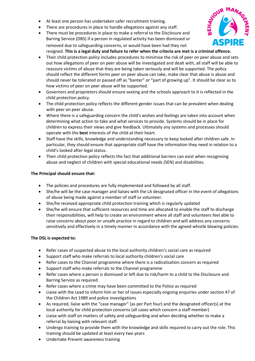- At least one person has undertaken safer recruitment training.
- There are procedures in place to handle allegations against any staff.
- There must be procedures in place to make a referral to the Disclosure and Barring Service (DBS) if a person in regulated activity has been dismissed or removed due to safeguarding concerns, or would have been had they not



resigned. **This is a legal duty and failure to refer when the criteria are met is a criminal offence.** 

- Their child protection policy includes procedures to minimise the risk of peer on peer abuse and sets out how allegations of peer on peer abuse will be investigated and dealt with, all staff will be able to reassure victims of abuse that they are being taken seriously and will be supported. The policy should reflect the different forms peer on peer abuse can take, make clear that abuse is abuse and should never be tolerated or passed off as "banter" or "part of growing up". It should be clear as to how victims of peer on peer abuse will be supported.
- Governors and proprietors should ensure sexting and the schools approach to it is reflected in the child protection policy.
- The child protection policy reflects the different gender issues that can be prevalent when dealing with peer on peer abuse.
- Where there is a safeguarding concern the child's wishes and feelings are taken into account when determining what action to take and what services to provide. Systems should be in place for children to express their views and give feedback. Ultimately any systems and processes should operate with the **best** interests of the child at their heart.
- Staff have the skills, knowledge and understanding necessary to keep looked after children safe. In particular, they should ensure that appropriate staff have the information they need in relation to a child's looked after legal status.
- Their child protection policy reflects the fact that additional barriers can exist when recognising abuse and neglect of children with special educational needs (SEN) and disabilities.

#### **The Principal should ensure that:**

- The policies and procedures are fully implemented and followed by all staff.
- She/he will be the case manager and liaises with the LA designated officer in the event of allegations of abuse being made against a member of staff or volunteer.
- She/he received appropriate child protection training which is regularly updated
- She/he will ensure that sufficient resources and time are allocated to enable the staff to discharge their responsibilities, will help to create an environment where all staff and volunteers feel able to raise concerns about poor or unsafe practice in regard to children and will address any concerns sensitively and effectively in a timely manner in accordance with the agreed whistle blowing policies.

#### **The DSL is expected to:**

- Refer cases of suspected abuse to the local authority children's social care as required
- Support staff who make referrals to local authority children's social care
- Refer cases to the Channel programme where there is a radicalisation concern as required
- Support staff who make referrals to the Channel programme
- Refer cases where a person is dismissed or left due to risk/harm to a child to the Disclosure and Barring Service as required
- Refer cases where a crime may have been committed to the Police as required
- Liaise with the Lead to inform him or her of issues especially ongoing enquiries under section 47 of the Children Act 1989 and police investigations
- As required, liaise with the "case manager" (as per Part four) and the designated officer(s) at the local authority for child protection concerns (all cases which concern a staff member)
- Liaise with staff on matters of safety and safeguarding and when deciding whether to make a referral by liaising with relevant staff.
- Undergo training to provide them with the knowledge and skills required to carry out the role. This training should be updated at least every two years
- Undertake Prevent awareness training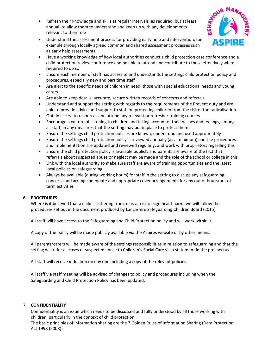- Refresh their knowledge and skills at regular intervals, as required, but at least annual, to allow them to understand and keep up with any developments relevant to their role
- Understand the assessment process for providing early help and intervention, for example through locally agreed common and shared assessment processes such as early help assessments
- Have a working knowledge of how local authorities conduct a child protection case conference and a child protection review conference and be able to attend and contribute to these effectively when required to do so
- Ensure each member of staff has access to and understands the settings child protection policy and procedures, especially new and part time staff
- Are alert to the specific needs of children in need, those with special educational needs and young carers
- Are able to keep details, accurate, secure written records of concerns and referrals
- Understand and support the setting with regards to the requirements of the Prevent duty and are able to provide advice and support to staff on protecting children from the risk of the radicalisation.
- Obtain access to resources and attend any relevant or refresher training courses
- Encourage a culture of listening to children and taking account of their wishes and feelings, among all staff, in any measures that the setting may put in place to protect them.
- Ensure the settings child protection policies are known, understood and used appropriately
- Ensure the settings child protection policy is reviewed annually (as a minimum) and the procedures and implementation are updated and reviewed regularly, and work with proprietors regarding this
- Ensure the child protection policy is available publicly and parents are aware of the fact that referrals about suspected abuse or neglect may be made and the role of the school or college in this
- Link with the local authority to make sure staff are aware of training opportunities and the latest local policies on safeguarding
- Always be available (during working hours) for staff in the setting to discuss any safeguarding concerns and arrange adequate and appropriate cover arrangements for any out of hours/out of term activities

#### **6. PROCEDURES**

Where is it believed that a child is suffering from, or is at risk of significant harm, we will follow the procedures set out in the document produced by Lancashire Safeguarding Children Board (2015)

All staff will have access to the Safeguarding and Child Protection policy and will work within it.

A copy of the policy will be made publicly available via the Aspires website or by other means.

All parents/carers will be made aware of the settings responsibilities in relation to safeguarding and that the setting will refer all cases of suspected abuse to Children's Social Care via a statement in the prospectus.

All staff will receive induction on day one including a copy of the relevant policies.

All staff via staff meeting will be advised of changes to policy and procedures including when the Safeguarding and Child Protection Policy has been updated.

#### 7. **CONFIDENTIALITY**

Confidentiality is an issue which needs to be discussed and fully understood by all those working with children, particularly in the context of child protection.

The basic principles of information sharing are the 7 Golden Rules of Information Sharing (Data Protection Act 1998 (2008))

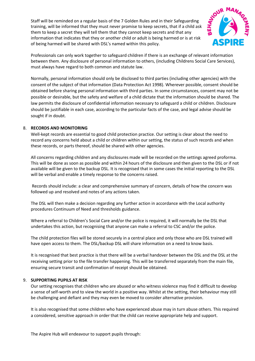Staff will be reminded on a regular basis of the 7 Golden Rules and in their Safeguarding training, will be informed that they must never promise to keep secrets, that if a child ask them to keep a secret they will tell them that they cannot keep secrets and that any information that indicates that they or another child or adult is being harmed or is at risk of being harmed will be shared with DSL's named within this policy.



Professionals can only work together to safeguard children if there is an exchange of relevant information between them. Any disclosure of personal information to others, (including Childrens Social Care Services), must always have regard to both common and statute law.

Normally, personal information should only be disclosed to third parties (including other agencies) with the consent of the subject of that information (Data Protection Act 1998). Wherever possible, consent should be obtained before sharing personal information with third parties. In some circumstances, consent may not be possible or desirable, but the safety and welfare of a child dictate that the information should be shared. The law permits the disclosure of confidential information necessary to safeguard a child or children. Disclosure should be justifiable in each case, according to the particular facts of the case, and legal advise should be sought if in doubt.

#### 8. **RECORDS AND MONITORING**

Well-kept records are essential to good child protection practice. Our setting is clear about the need to record any concerns held about a child or children within our setting, the status of such records and when these records, or parts thereof, should be shared with other agencies.

All concerns regarding children and any disclosures made will be recorded on the settings agreed proforma. This will be done as soon as possible and within 24 hours of the disclosure and then given to the DSL or if not available will be given to the backup DSL. It is recognised that in some cases the initial reporting to the DSL will be verbal and enable a timely response to the concerns raised.

Records should include: a clear and comprehensive summary of concern, details of how the concern was followed up and resolved and notes of any actions taken.

The DSL will then make a decision regarding any further action in accordance with the Local authority procedures Continuum of Need and thresholds guidance.

Where a referral to Children's Social Care and/or the police is required, it will normally be the DSL that undertakes this action, but recognising that anyone can make a referral to CSC and/or the police.

The child protection files will be stored securely in a central place and only those who are DSL trained will have open access to them. The DSL/backup DSL will share information on a need to know basis.

It is recognised that best practice is that there will be a verbal handover between the DSL and the DSL at the receiving setting prior to the file transfer happening. This will be transferred separately from the main file, ensuring secure transit and confirmation of receipt should be obtained.

#### 9. **SUPPORTING PUPILS AT RISK**

Our setting recognises that children who are abused or who witness violence may find it difficult to develop a sense of self-worth and to view the world in a positive way. Whilst at the setting, their behaviour may still be challenging and defiant and they may even be moved to consider alternative provision.

It is also recognised that some children who have experienced abuse may in turn abuse others. This required a considered, sensitive approach in order that the child can receive appropriate help and support.

The Aspire Hub will endeavour to support pupils through: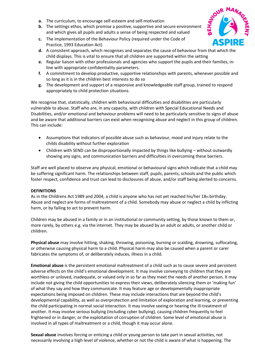- **a.** The curriculum, to encourage self-esteem and self-motivation
- **b.** The settings ethos, which promise a positive, supportive and secure environment and which gives all pupils and adults a sense of being respected and valued
- **c.** The implementation of the Behaviour Policy (required under the Code of Practice, 1993 Education Act)
- **d.** A consistent approach, which recognises and separates the cause of behaviour from that which the child displays. This is vital to ensure that all children are supported within the setting
- **e.** Regular liaison with other professionals and agencies who support the pupils and their families, inline with appropriate confidentiality parameters.
- **f.** A commitment to develop productive, supportive relationships with parents, whenever possible and so long as it is in the children best interests to do so
- **g.** The development and support of a responsive and knowledgeable staff group, trained to respond appropriately to child protection situations.

We recognise that, statistically, children with behavioural difficulties and disabilities are particularly vulnerable to abuse. Staff who are, in any capacity, with children with Special Educational Needs and Disabilities, and/or emotional and behaviour problems will need to be particularly sensitive to signs of abuse and be aware that additional barriers can exist when recognising abuse and neglect in this group of children. This can include:

- Assumptions that indicators of possible abuse such as behaviour, mood and injury relate to the childs disability without further exploration
- Children with SEND can be disproportionally impacted by things like bullying without outwardly showing any signs, and communication barriers and difficulties in overcoming these barriers.

Staff are well placed to observe any physical, emotional or behavioural signs which indicate that a child may be suffering significant harm. The relationships between staff, pupils, parents, schools and the public which foster respect, confidence and trust can lead to disclosures of abuse, and/or staff being alerted to concerns.

#### **DEFINITIONS**

As in the Childrens Act 1989 and 2004, a child is anyone who has not yet reached his/her 18th birthday. Abuse and neglect are forms of maltreatment of a child. Somebody may abuse or neglect a child by inflicting harm, or by failing to act to prevent harm.

Children may be abused in a family or in an institutional or community setting, by those known to them or, more rarely, by others e.g. via the internet. They may be abused by an adult or adults, or another child or children.

**Physical abuse** may involve hitting, shaking, throwing, poisoning, burning or scalding, drowning, suffocating, or otherwise causing physical harm to a child. Physical harm may also be caused when a parent or carer fabricates the symptoms of, or deliberately induces, illness in a child.

**Emotional abuse** is the persistent emotional maltreatment of a child such as to cause severe and persistent adverse effects on the child's emotional development. It may involve conveying to children that they are worthless or unloved, inadequate, or valued only in so far as they meet the needs of another person. It may include not giving the child opportunities to express their views, deliberately silencing them or 'making fun' of what they say and how they communicate. It may feature age or developmentally inappropriate expectations being imposed on children. These may include interactions that are beyond the child's developmental capability, as well as overprotection and limitation of exploration and learning, or preventing the child participating in normal social interaction. It may involve seeing or hearing the ill-treatment of another. It may involve serious bullying (including cyber bullying), causing children frequently to feel frightened or in danger, or the exploitation of corruption of children. Some level of emotional abuse is involved in all types of maltreatment or a child, though it may occur alone.

**Sexual abuse** involves forcing or enticing a child or young person to take part in sexual activities, not necessarily involving a high level of violence, whether or not the child is aware of what is happening. The

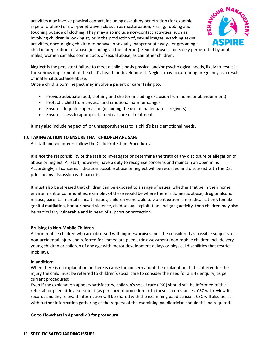activities may involve physical contact, including assault by penetration (for example, rape or oral sex) or non-penetrative acts such as masturbation, kissing, rubbing and touching outside of clothing. They may also include non-contact activities, such as involving children in looking at, or in the production of, sexual images, watching sexual activities, encouraging children to behave in sexually inappropriate ways, or grooming a child in preparation for abuse (including via the internet). Sexual abuse is not solely perpetrated by adult males, women can also commit acts of sexual abuse, as can other children.



**Neglect** is the persistent failure to meet a child's basis physical and/or psychological needs, likely to result in the serious impairment of the child's health or development. Neglect may occur during pregnancy as a result of maternal substance abuse.

Once a child is born, neglect may involve a parent or carer failing to:

- Provide adequate food, clothing and shelter (including exclusion from home or abandonment)
- Protect a child from physical and emotional harm or danger
- Ensure adequate supervision (including the use of inadequate caregivers)
- Ensure access to appropriate medical care or treatment

It may also include neglect of, or unresponsiveness to, a child's basic emotional needs.

#### 10. **TAKING ACTION TO ENSURE THAT CHILDREN ARE SAFE**

All staff and volunteers follow the Child Protection Procedures.

It is *not* the responsibility of the staff to investigate or determine the truth of any disclosure or allegation of abuse or neglect. All staff, however, have a duty to recognise concerns and maintain an open mind. Accordingly, all concerns indication possible abuse or neglect will be recorded and discussed with the DSL prior to any discussion with parents.

It must also be stressed that children can be exposed to a range of issues, whether that be in their home environment or communities, examples of these would be where there is domestic abuse, drug or alcohol misuse, parental mental ill health issues, children vulnerable to violent extremism (radicalisation), female genital mutilation, honour-based violence, child sexual exploitation and gang activity, then children may also be particularly vulnerable and in need of support or protection.

#### **Bruising to Non-Mobile Children**

All non-mobile children who are observed with injuries/bruises must be considered as possible subjects of non-accidental injury and referred for immediate paediatric assessment (non-mobile children include very young children or children of any age with motor development delays or physical disabilities that restrict mobility).

#### **In addition:**

When there is no explanation or there is cause for concern about the explanation that is offered for the injury the child must be referred to children's social care to consider the need for a S.47 enquiry, as per current procedures;

Even if the explanation appears satisfactory, children's social care (CSC) should still be informed of the referral for paediatric assessment (as per current procedures). In these circumstances, CSC will review its records and any relevant information will be shared with the examining paediatrician. CSC will also assist with further information gathering at the request of the examining paediatrician should this be required.

#### **Go to Flowchart in Appendix 3 for procedure**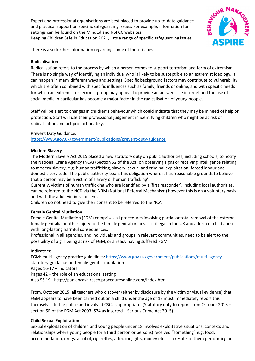Expert and professional organisations are best placed to provide up-to-date guidance and practical support on specific safeguarding issues. For example, information for settings can be found on the MindEd and NSPCC websites. Keeping Children Safe in Education 2021, lists a range of specific safeguarding issues



There is also further information regarding some of these issues:

#### **Radicalisation**

Radicalisation refers to the process by which a person comes to support terrorism and form of extremism. There is no single way of identifying an individual who is likely to be susceptible to an extremist ideology. It can happen in many different ways and settings. Specific background factors may contribute to vulnerability which are often combined with specific influences such as family, friends or online, and with specific needs for which an extremist or terrorist group may appear to provide an answer. The internet and the use of social media in particular has become a major factor in the radicalisation of young people.

Staff will be alert to changes in children's behaviour which could indicate that they may be in need of help or protection. Staff will use their professional judgement in identifying children who might be at risk of radicalisation and act proportionately.

Prevent Duty Guidance:

<https://www.gov.uk/government/publications/prevent-duty-guidance>

#### **Modern Slavery**

The Modern Slavery Act 2015 placed a new statutory duty on public authorities, including schools, to notify the National Crime Agency (NCA) (Section 52 of the Act) on observing signs or receiving intelligence relating to modern slavery, e.g. human trafficking, slavery, sexual and criminal exploitation, forced labour and domestic servitude. The public authority bears this obligation where it has 'reasonable grounds to believe that a person may be a victim of slavery or human trafficking'.

Currently, victims of human trafficking who are identified by a 'first responder', including local authorities, can be referred to the NCD via the NRM (National Referral Mechanism) however this is on a voluntary basis and with the adult victims consent.

Children do not need to give their consent to be referred to the NCA.

#### **Female Genital Mutilation**

Female Genital Mutilation (FGM) comprises all procedures involving partial or total removal of the external female genitalia or other injury to the female genital organs. It is illegal in the UK and a form of child abuse with long-lasting harmful consequences.

Professional in all agencies, and individuals and groups in relevant communities, need to be alert to the possibility of a girl being at risk of FGM, or already having suffered FGM.

Indicators:

FGM: multi agency practice guidelines[: https://www.gov.uk/government/publications/multi-agency](https://www.gov.uk/government/publications/multi-agency-)statutory-guidance-on-female-genital-mutilation

Pages 16-17 – indicators

Pages 42 – the role of an educational setting

Also S5.19 - http://panlancashirescb.proceduresonline.com/index.htm

From, October 2015, all teachers who discover (either by disclosure by the victim or visual evidence) that FGM appears to have been carried out on a child under the age of 18 must immediately report this themselves to the police and involved CSC as appropriate. (Statutory duty to report from October 2015 – section 5B of the FGM Act 2003 (S74 as inserted – Serious Crime Act 2015).

#### **Child Sexual Exploitation**

Sexual exploitation of children and young people under 18 involves exploitative situations, contexts and relationships where young people (or a third person or persons) received "something" e.g. food, accommodation, drugs, alcohol, cigarettes, affection, gifts, money etc. as a results of them performing or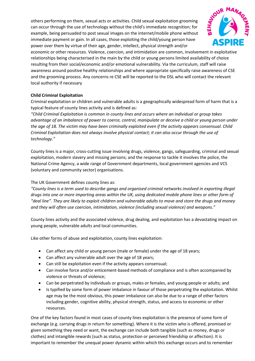others performing on them, sexual acts or activities. Child sexual exploitation grooming can occur through the use of technology without the child's immediate recognition; for example, being persuaded to post sexual images on the internet/mobile phone without immediate payment or gain. In all cases, those exploiting the child/young person have power over them by virtue of their age, gender, intellect, physical strength and/or



economic or other resources. Violence, coercion, and intimidation are common, involvement in exploitative relationships being characterised in the main by the child or young persons limited availability of choice resulting from their social/economic and/or emotional vulnerability. Via the curriculum, staff will raise awareness around positive healthy relationships and where appropriate specifically raise awareness of CSE and the grooming process. Any concerns re CSE will be reported to the DSL who will contact the relevant local authority if necessary

#### **Child Criminal Exploitation**

Criminal exploitation or children and vulnerable adults is a geographically widespread form of harm that is a typical feature of county lines activity and is defined as:

*"Child Criminal Exploitation is common in county lines and occurs where an individual or group takes advantage of an imbalance of power to coerce, control, manipulate or deceive a child or young person under the age of 18. The victim may have been criminally exploited even if the activity appears consensual. Child Criminal Exploitation does not always involve physical contact; it can also occur through the use of technology."*

County lines is a major, cross-cutting issue involving drugs, violence, gangs, safeguarding, criminal and sexual exploitation, modern slavery and missing persons; and the response to tackle it involves the police, the National Crime Agency, a wide range of Government departments, local government agencies and VCS (voluntary and community sector) organisations.

#### The UK Government defines county lines as:

*"County lines is a term used to describe gangs and organised criminal networks involved in exporting illegal drugs into one or more importing areas within the UK, using dedicated mobile phone lines or other form of "deal line". They are likely to exploit children and vulnerable adults to move and store the drugs and money and they will often use coercion, intimidation, violence (including sexual violence) and weapons."*

County lines activity and the associated violence, drug dealing, and exploitation has a devastating impact on young people, vulnerable adults and local communities.

Like other forms of abuse and exploitation, county lines exploitation:

- Can affect any child or young person (male or female) under the age of 18 years;
- Can affect any vulnerable adult over the age of 18 years;
- Can still be exploitation even if the activity appears consensual;
- Can involve force and/or enticement-based methods of compliance and is often accompanied by violence or threats of violence;
- Can be perpetrated by individuals or groups, males or females, and young people or adults; and
- Is typified by some form of power imbalance in favour of those perpetrating the exploitation. Whilst age may be the most obvious, this power imbalance can also be due to a range of other factors including gender, cognitive ability, physical strength, status, and access to economic or other resources.

One of the key factors found in most cases of county lines exploitation is the presence of some form of exchange (e.g. carrying drugs in return for something). Where it is the victim who is offered, promised or given something they need or want, the exchange can include both tangible (such as money, drugs or clothes) and intangible rewards (such as status, protection or perceived friendship or affection). It is important to remember the unequal power dynamic within which this exchange occurs and to remember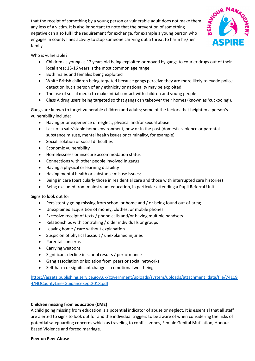

that the receipt of something by a young person or vulnerable adult does not make them any less of a victim. It is also important to note that the prevention of something negative can also fulfil the requirement for exchange, for example a young person who engages in county lines activity to stop someone carrying out a threat to harm his/her family.

Who is vulnerable?

- Children as young as 12 years old being exploited or moved by gangs to courier drugs out of their local area; 15-16 years is the most common age range
- Both males and females being exploited
- White British children being targeted because gangs perceive they are more likely to evade police detection but a person of any ethnicity or nationality may be exploited
- The use of social media to make initial contact with children and young people
- Class A drug users being targeted so that gangs can takeover their homes (known as 'cuckooing').

Gangs are known to target vulnerable children and adults; some of the factors that heighten a person's vulnerability include:

- Having prior experience of neglect, physical and/or sexual abuse
- Lack of a safe/stable home environment, now or in the past (domestic violence or parental substance misuse, mental health issues or criminality, for example)
- Social isolation or social difficulties
- Economic vulnerability
- Homelessness or insecure accommodation status
- Connections with other people involved in gangs
- Having a physical or learning disability
- Having mental health or substance misuse issues;
- Being in care (particularly those in residential care and those with interrupted care histories)
- Being excluded from mainstream education, in particular attending a Pupil Referral Unit.

Signs to look out for:

- Persistently going missing from school or home and / or being found out-of-area;
- Unexplained acquisition of money, clothes, or mobile phones
- Excessive receipt of texts / phone calls and/or having multiple handsets
- Relationships with controlling / older individuals or groups
- Leaving home / care without explanation
- Suspicion of physical assault / unexplained injuries
- Parental concerns
- Carrying weapons
- Significant decline in school results / performance
- Gang association or isolation from peers or social networks
- Self-harm or significant changes in emotional well-being

[https://assets.publishing.service.gov.uk/government/uploads/system/uploads/attachment\\_data/file/74119](https://assets.publishing.service.gov.uk/government/uploads/system/uploads/attachment_data/file/741194/HOCountyLinesGuidanceSept2018.pdf) [4/HOCountyLinesGuidanceSept2018.pdf](https://assets.publishing.service.gov.uk/government/uploads/system/uploads/attachment_data/file/741194/HOCountyLinesGuidanceSept2018.pdf)

#### **Children missing from education (CME)**

A child going missing from education is a potential indicator of abuse or neglect. It is essential that all staff are alerted to signs to look out for and the individual triggers to be aware of when considering the risks of potential safeguarding concerns which as traveling to conflict zones, Female Genital Mutilation, Honour Based Violence and forced marriage.

#### **Peer on Peer Abuse**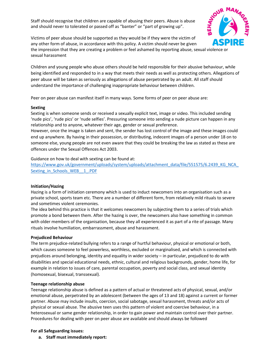Staff should recognise that children are capable of abusing their peers. Abuse is abuse and should never to tolerated or passed off as "banter" or "part of growing up".



Victims of peer abuse should be supported as they would be if they were the victim of any other form of abuse, in accordance with this policy. A victim should never be given the impression that they are creating a problem or feel ashamed by reporting abuse, sexual violence or sexual harassment

Children and young people who abuse others should be held responsible for their abusive behaviour, while being identified and responded to in a way that meets their needs as well as protecting others. Allegations of peer abuse will be taken as seriously as allegations of abuse perpetrated by an adult. All staff should understand the importance of challenging inappropriate behaviour between children.

Peer on peer abuse can manifest itself in many ways. Some forms of peer on peer abuse are:

#### **Sexting**

Sexting is when someone sends or received a sexually explicit text, image or video. This included sending 'nude pics', 'rude pics' or 'nude selfies'. Pressuring someone into sending a nude picture can happen in any relationship and to anyone, whatever their age, gender or sexual preference.

However, once the image is taken and sent, the sender has lost control of the image and these images could end up anywhere. By having in their possession, or distributing, indecent images of a person under 18 on to someone else, young people are not even aware that they could be breaking the law as stated as these are offences under the Sexual Offences Act 2003.

Guidance on how to deal with sexting can be found at:

https://www.gov.uk/government/uploads/system/uploads/attachment\_data/file/551575/6.2439\_KG\_NCA Sexting\_in\_Schools\_WEB\_\_1\_.PDF

#### **Initiation/Hazing**

Hazing is a form of initiation ceremony which is used to induct newcomers into an organisation such as a private school, sports team etc. There are a number of different form, from relatively mild rituals to severe and sometimes violent ceremonies.

The idea behind this practice is that it welcomes newcomers by subjecting them to a series of trials which promote a bond between them. After the hazing is over, the newcomers also have something in common with older members of the organisation, because they all experienced it as part of a rite of passage. Many rituals involve humiliation, embarrassment, abuse and harassment.

#### **Prejudiced Behaviour**

The term prejudice-related bullying refers to a range of hurtful behaviour, physical or emotional or both, which causes someone to feel powerless, worthless, excluded or marginalised, and which is connected with prejudices around belonging, identity and equality in wider society – in particular, prejudiced to do with disabilities and special educational needs, ethnic, cultural and religious backgrounds, gender, home life, for example in relation to issues of care, parental occupation, poverty and social class, and sexual identity (homosexual, bisexual, transsexual).

#### **Teenage relationship abuse**

Teenage relationship abuse is defined as a pattern of actual or threatened acts of physical, sexual, and/or emotional abuse, perpetrated by an adolescent (between the ages of 13 and 18) against a current or former partner. Abuse may include insults, coercion, social sabotage, sexual harassment, threats and/or acts of physical or sexual abuse. The abusive teen uses this pattern of violent and coercive behaviour, in a heterosexual or same gender relationship, in order to gain power and maintain control over their partner. Procedures for dealing with peer on peer abuse are available and should always be followed

#### **For all Safeguarding issues:**

**a. Staff must immediately report:**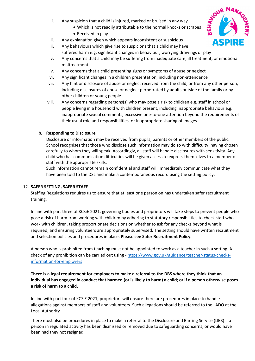- i. Any suspicion that a child is injured, marked or bruised in any way
	- Which is not readily attributable to the normal knocks or scrapes
	- Received in play
- ii. Any explanation given which appears inconsistent or suspicious
- iii. Any behaviours which give rise to suspicions that a child may have suffered harm e.g. significant changes in behaviour, worrying drawings or play
- iv. Any concerns that a child may be suffering from inadequate care, ill treatment, or emotional maltreatment
- v. Any concerns that a child presenting signs or symptoms of abuse or neglect
- vi. Any significant changes in a children presentation, including non-attendance
- vii. Any hint or disclosure of abuse or neglect received from the child, or from any other person, including disclosures of abuse or neglect perpetrated by adults outside of the family or by other children or young people
- viii. Any concerns regarding persons(s) who may pose a risk to children e.g. staff in school or people living in a household with children present, including inappropriate behaviour e.g. inappropriate sexual comments, excessive one-to-one attention beyond the requirements of their usual role and responsibilities, or inappropriate sharing of images.

#### **b. Responding to Disclosure**

Disclosure or information may be received from pupils, parents or other members of the public. School recognises that those who disclose such information may do so with difficulty, having chosen carefully to whom they will speak. Accordingly, all staff will handle disclosures with sensitivity. Any child who has communication difficulties will be given access to express themselves to a member of staff with the appropriate skills.

Such information cannot remain confidential and staff will immediately communicate what they have been told to the DSL and make a contemporaneous record using the setting policy.

#### 12. **SAFER SETTING, SAFER STAFF**

Staffing Regulations requires us to ensure that at least one person on has undertaken safer recruitment training.

In line with part three of KCSiE 2021, governing bodies and proprietors will take steps to prevent people who pose a risk of harm from working with children by adhering to statutory responsibilities to check staff who work with children, taking proportionate decisions on whether to ask for any checks beyond what is required; and ensuring volunteers are appropriately supervised. The setting should have written recruitment and selection policies and procedures in place. **Please see Safer Recruitment Policy.** 

A person who is prohibited from teaching must not be appointed to work as a teacher in such a setting. A check of any prohibition can be carried out using - [https://www.gov.uk/guidance/teacher-status-checks](https://www.gov.uk/guidance/teacher-status-checks-information-for-employers)[information-for-employers](https://www.gov.uk/guidance/teacher-status-checks-information-for-employers) 

#### **There is a legal requirement for employers to make a referral to the DBS where they think that an individual has engaged in conduct that harmed (or is likely to harm) a child; or if a person otherwise poses a risk of harm to a child.**

In line with part four of KCSiE 2021, proprietors will ensure there are procedures in place to handle allegations against members of staff and volunteers. Such allegations should be referred to the LADO at the Local Authority

There must also be procedures in place to make a referral to the Disclosure and Barring Service (DBS) if a person in regulated activity has been dismissed or removed due to safeguarding concerns, or would have been had they not resigned.

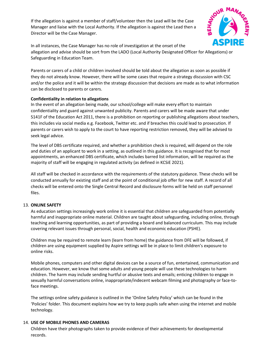If the allegation is against a member of staff/volunteer then the Lead will be the Case Manager and liaise with the Local Authority. If the allegation is against the Lead then a Director will be the Case Manager.



In all instances, the Case Manager has no role of investigation at the onset of the allegation and advise should be sort from the LADO (Local Authority Designated Officer for Allegations) or Safeguarding in Education Team.

Parents or carers of a child or children involved should be told about the allegation as soon as possible if they do not already know. However, there will be some cases that require a strategy discussion with CSC and/or the police and it will be within the strategy discussion that decisions are made as to what information can be disclosed to parents or carers.

#### **Confidentiality in relation to allegations**

In the event of an allegation being made, our school/college will make every effort to maintain confidentiality and guard against unwanted publicity. Parents and carers will be made aware that under S141F of the Education Act 2011, there is a prohibition on reporting or publishing allegations about teachers, this includes via social media e.g. Facebook, Twitter etc. and if breaches this could lead to prosecution. If parents or carers wish to apply to the court to have reporting restriction removed, they will be advised to seek legal advice.

The level of DBS certificate required, and whether a prohibition check is required, will depend on the role and duties of an applicant to work in a setting, as outlined in this guidance. It is recognised that for most appointments, an enhanced DBS certificate, which includes barred list information, will be required as the majority of staff will be engaging in regulated activity (as defined in KCSiE 2021).

All staff will be checked in accordance with the requirements of the statutory guidance. These checks will be conducted annually for existing staff and at the point of conditional job offer for new staff. A record of all checks will be entered onto the Single Central Record and disclosure forms will be held on staff personnel files.

#### 13. **ONLINE SAFETY**

As education settings increasingly work online it is essential that children are safeguarded from potentially harmful and inappropriate online material. Children are taught about safeguarding, including online, through teaching and learning opportunities, as part of providing a board and balanced curriculum. This may include covering relevant issues through personal, social, health and economic education (PSHE).

Children may be required to remote learn (learn from home) the guidance from DFE will be followed, if children are using equipment supplied by Aspire settings will be in place to limit children's exposure to online risks.

Mobile phones, computers and other digital devices can be a source of fun, entertained, communication and education. However, we know that some adults and young people will use these technologies to harm children. The harm may include sending hurtful or abusive texts and emails; enticing children to engage in sexually harmful conversations online, inappropriate/indecent webcam filming and photography or face-toface meetings.

The settings online safety guidance is outlined in the 'Online Safety Policy' which can be found in the 'Policies' folder. This document explains how we try to keep pupils safe when using the internet and mobile technology.

#### 14. **USE OF MOBILE PHONES AND CAMERAS**

Children have their photographs taken to provide evidence of their achievements for developmental records.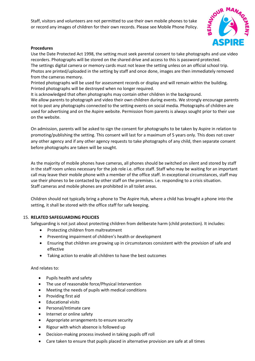Staff, visitors and volunteers are not permitted to use their own mobile phones to take or record any images of children for their own records. Please see Mobile Phone Policy.



#### **Procedures**

Use the Date Protected Act 1998, the setting must seek parental consent to take photographs and use video recorders. Photographs will be stored on the shared drive and access to this is password protected. The settings digital camera or memory cards must not leave the setting unless on an official school trip. Photos are printed/uploaded in the setting by staff and once done, images are then immediately removed from the cameras memory.

Printed photographs will be used for assessment records or display and will remain within the building. Printed photographs will be destroyed when no longer required.

It is acknowledged that often photographs may contain other children in the background.

We allow parents to photograph and video their own children during events. We strongly encourage parents not to post any photographs connected to the setting events on social media. Photographs of children are used for advertising and on the Aspire website. Permission from parents is always sought prior to their use on the website.

On admission, parents will be asked to sign the consent for photographs to be taken by Aspire in relation to promoting/publishing the setting. This consent will last for a maximum of 5 years only. This does not cover any other agency and if any other agency requests to take photographs of any child, then separate consent before photographs are taken will be sought.

As the majority of mobile phones have cameras, all phones should be switched on silent and stored by staff in the staff room unless necessary for the job role i.e. office staff. Staff who may be waiting for an important call may leave their mobile phone with a member of the office staff. In exceptional circumstances, staff may use their phones to be contacted by other staff on the premises. i.e. responding to a crisis situation. Staff cameras and mobile phones are prohibited in all toilet areas.

Children should not typically bring a phone to The Aspire Hub, where a child has brought a phone into the setting, it shall be stored with the office staff for safe keeping.

#### 15. **RELATED SAFEGUARDING POLICIES**

Safeguarding is not just about protecting children from deliberate harm (child protection). It includes:

- Protecting children from maltreatment
- Preventing impairment of children's health or development
- Ensuring that children are growing up in circumstances consistent with the provision of safe and effective
- Taking action to enable all children to have the best outcomes

And relates to:

- Pupils health and safety
- The use of reasonable force/Physical Intervention
- Meeting the needs of pupils with medical conditions
- Providing first aid
- Educational visits
- Personal/Intimate care
- Internet or online safety
- Appropriate arrangements to ensure security
- Rigour with which absence is followed up
- Decision-making process involved in taking pupils off roll
- Care taken to ensure that pupils placed in alternative provision are safe at all times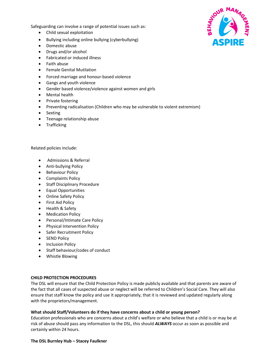Safeguarding can involve a range of potential issues such as:

- Child sexual exploitation
- Bullying including online bullying (cyberbullying)
- Domestic abuse
- Drugs and/or alcohol
- Fabricated or induced illness
- Faith abuse
- Female Genital Mutilation
- Forced marriage and honour-based violence
- Gangs and youth violence
- Gender based violence/violence against women and girls
- Mental health
- Private fostering
- Preventing radicalisation (Children who may be vulnerable to violent extremism)
- Sexting
- Teenage relationship abuse
- Trafficking

Related policies include:

- Admissions & Referral
- Anti-bullying Policy
- Behaviour Policy
- Complaints Policy
- Staff Disciplinary Procedure
- Equal Opportunities
- Online Safety Policy
- First Aid Policy
- Health & Safety
- Medication Policy
- Personal/Intimate Care Policy
- Physical Intervention Policy
- Safer Recruitment Policy
- SEND Policy
- Inclusion Policy
- Staff behaviour/codes of conduct
- Whistle Blowing

#### **CHILD PROTECTION PROCEDURES**

The DSL will ensure that the Child Protection Policy is made publicly available and that parents are aware of the fact that all cases of suspected abuse or neglect will be referred to Children's Social Care. They will also ensure that staff know the policy and use it appropriately, that it is reviewed and updated regularly along with the proprietors/management.

#### **What should Staff/Volunteers do if they have concerns about a child or young person?**

Education professionals who are concerns about a child's welfare or who believe that a child is or may be at risk of abuse should pass any information to the DSL, this should *ALWAYS* occur as soon as possible and certainly within 24 hours.



#### **The DSL Burnley Hub – Stacey Faulkner**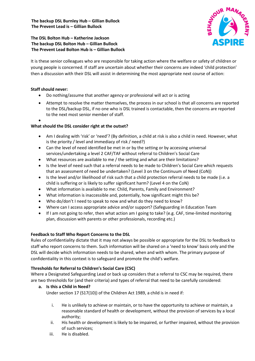#### **The DSL Bolton Hub – Katherine Jackson The backup DSL Bolton Hub – Gillian Bullock The Prevent Lead Bolton Hub is – Gillian Bullock**

It is these senior colleagues who are responsible for taking action where the welfare or safety of children or young people is concerned. If staff are uncertain about whether their concerns are indeed 'child protection' then a discussion with their DSL will assist in determining the most appropriate next course of action:

#### **Staff should never:**

- Do nothing/assume that another agency or professional will act or is acting
- Attempt to resolve the matter themselves, the process in our school is that all concerns are reported to the DSL/backup DSL, if no one who is DSL trained is contactable, then the concerns are reported to the next most senior member of staff.
- •

#### **What should the DSL consider right at the outset?**

- Am I dealing with 'risk' or 'need'? (By definition, a child at risk is also a child in need. However, what is the priority / level and immediacy of risk / need?)
- Can the level of need identified be met in or by the setting or by accessing universal services/undertaking a level 2 CAF/TAF without referral to Children's Social Care
- What resources are available to me / the setting and what are their limitations?
- Is the level of need such that a referral needs to be made to Children's Social Care which requests that an assessment of need be undertaken? (Level 3 on the Continuum of Need (CoN))
- Is the level and/or likelihood of risk such that a child protection referral needs to be made (i.e. a child is suffering or is likely to suffer significant harm? (Level 4 on the CoN)
- What information is available to me: Child, Parents, Family and Environment?
- What information is inaccessible and, potentially, how significant might this be?
- Who do/don't I need to speak to now and what do they need to know?
- Where can I access appropriate advice and/or support? (Safeguarding in Education Team
- If I am not going to refer, then what action am I going to take? (e.g. CAF, time-limited monitoring plan, discussion with parents or other professionals, recording etc.)

#### **Feedback to Staff Who Report Concerns to the DSL**

Rules of confidentiality dictate that it may not always be possible or appropriate for the DSL to feedback to staff who report concerns to them. Such information will be shared on a 'need to know' basis only and the DSL will decide which information needs to be shared, when and with whom. The primary purpose of confidentiality in this context is to safeguard and promote the child's welfare.

#### **Thresholds for Referral to Children's Social Care (CSC)**

Where a Designated Safeguarding Lead or back up considers that a referral to CSC may be required, there are two thresholds for (and their criteria) and types of referral that need to be carefully considered:

### **a. Is this a Child in Need?**

Under section 17 (S17(10)) of the Children Act 1989, a child is in need if:

- i. He is unlikely to achieve or maintain, or to have the opportunity to achieve or maintain, a reasonable standard of health or development, without the provision of services by a local authority;
- ii. His health or development is likely to be impaired, or further impaired, without the provision of such services;
- iii. He is disabled.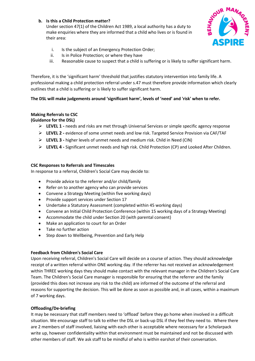#### **b. Is this a Child Protection matter?**

Under section 47(1) of the Children Act 1989, a local authority has a duty to make enquiries where they are informed that a child who lives or is found in their area:



- i. Is the subject of an Emergency Protection Order;
- ii. Is in Police Protection; or where they have
- iii. Reasonable cause to suspect that a child is suffering or is likely to suffer significant harm.

Therefore, it is the 'significant harm' threshold that justifies statutory intervention into family life. A professional making a child protection referral under s.47 must therefore provide information which clearly outlines that a child is suffering or is likely to suffer significant harm.

#### **The DSL will make judgements around 'significant harm', levels of 'need' and 'risk' when to refer.**

#### **Making Referrals to CSC**

**(Guidance for the DSL)** 

- **LEVEL 1 -** needs and risks are met through Universal Services or simple specific agency response
- **LEVEL 2 -** evidence of some unmet needs and low risk. Targeted Service Provision via CAF/TAF
- **LEVEL 3 -** higher levels of unmet needs and medium risk. Child in Need (CIN)
- **LEVEL 4 -** Significant unmet needs and high risk. Child Protection (CP) and Looked After Children.

#### **CSC Responses to Referrals and Timescales**

In response to a referral, Children's Social Care may decide to:

- Provide advice to the referrer and/or child/family
- Refer on to another agency who can provide services
- Convene a Strategy Meeting (within five working days)
- Provide support services under Section 17
- Undertake a Statutory Assessment (completed within 45 working days)
- Convene an Initial Child Protection Conference (within 15 working days of a Strategy Meeting)
- Accommodate the child under Section 20 (with parental consent)
- Make an application to court for an Order
- Take no further action
- Step down to Wellbeing, Prevention and Early Help

#### **Feedback from Children's Social Care**

Upon receiving referral, Children's Social Care will decide on a course of action. They should acknowledge receipt of a written referral within ONE working day. If the referrer has not received an acknowledgement within THREE working days they should make contact with the relevant manager in the Children's Social Care Team. The Children's Social Care manager is responsible for ensuring that the referrer and the family (provided this does not increase any risk to the child) are informed of the outcome of the referral and reasons for supporting the decision. This will be done as soon as possible and, in all cases, within a maximum of 7 working days.

#### **Offloading/De-briefing**

It may be necessary that staff members need to 'offload' before they go home when involved in a difficult situation. We encourage staff to talk to either the DSL or back-up DSL if they feel they need to. Where there are 2 members of staff involved, liaising with each other is acceptable where necessary for a Scholarpack write up, however confidentiality within that environment must be maintained and not be discussed with other members of staff. We ask staff to be mindful of who is within earshot of their conversation.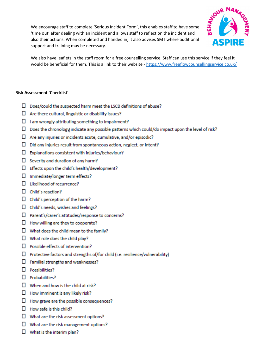We encourage staff to complete 'Serious Incident Form', this enables staff to have some 'time out' after dealing with an incident and allows staff to reflect on the incident and also their actions. When completed and handed in, it also advises SMT where additional support and training may be necessary.



We also have leaflets in the staff room for a free counselling service. Staff can use this service if they feel it would be beneficial for them. This is a link to their website -<https://www.freeflowcounsellingservice.co.uk/>

#### **Risk Assessment 'Checklist'**

- $\square$  Does/could the suspected harm meet the LSCB definitions of abuse?
- $\Box$  Are there cultural, linguistic or disability issues?
- $\Box$  I am wrongly attributing something to impairment?
- $\square$  Does the chronology indicate any possible patterns which could/do impact upon the level of risk?
- $\Box$  Are any injuries or incidents acute, cumulative, and/or episodic?
- $\Box$  Did any injuries result from spontaneous action, neglect, or intent?
- $\square$  Explanations consistent with injuries/behaviour?
- $\Box$  Severity and duration of any harm?
- $\Box$  Effects upon the child's health/development?
- □ Immediate/longer term effects?
- $\Box$  Likelihood of recurrence?
- $\Box$  Child's reaction?
- $\square$  Child's perception of the harm?
- $\Box$  Child's needs, wishes and feelings?
- □ Parent's/carer's attitudes/response to concerns?
- $\Box$  How willing are they to cooperate?
- $\Box$  What does the child mean to the family?
- $\square$  What role does the child play?
- $\Box$  Possible effects of intervention?
- $\Box$  Protective factors and strengths of/for child (i.e. resilience/vulnerability)
- $\Box$  Familial strengths and weaknesses?
- $\Box$  Possibilities?
- $\Box$  Probabilities?
- $\Box$  When and how is the child at risk?
- $\Box$  How imminent is any likely risk?
- $\Box$  How grave are the possible consequences?
- $\Box$  How safe is this child?
- $\square$  What are the risk assessment options?
- $\Box$  What are the risk management options?
- $\Box$  What is the interim plan?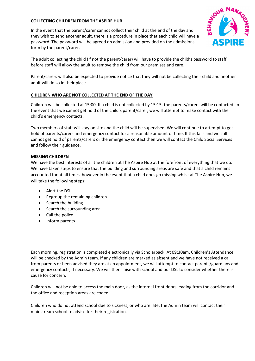#### **COLLECTING CHILDREN FROM THE ASPIRE HUB**

In the event that the parent/carer cannot collect their child at the end of the day and they wish to send another adult, there is a procedure in place that each child will have a password. The password will be agreed on admission and provided on the admissions form by the parent/carer.



The adult collecting the child (if not the parent/carer) will have to provide the child's password to staff before staff will allow the adult to remove the child from our premises and care.

Parent/carers will also be expected to provide notice that they will not be collecting their child and another adult will do so in their place.

#### **CHILDREN WHO ARE NOT COLLECTED AT THE END OF THE DAY**

Children will be collected at 15:00. If a child is not collected by 15:15, the parents/carers will be contacted. In the event that we cannot get hold of the child's parent/carer, we will attempt to make contact with the child's emergency contacts.

Two members of staff will stay on site and the child will be supervised. We will continue to attempt to get hold of parents/carers and emergency contact for a reasonable amount of time. If this fails and we still cannot get hold of parents/carers or the emergency contact then we will contact the Child Social Services and follow their guidance.

#### **MISSING CHILDREN**

We have the best interests of all the children at The Aspire Hub at the forefront of everything that we do. We have taken steps to ensure that the building and surrounding areas are safe and that a child remains accounted for at all times, however in the event that a child does go missing whilst at The Aspire Hub, we will take the following steps:

- Alert the DSL
- Regroup the remaining children
- Search the building
- Search the surrounding area
- Call the police
- Inform parents

Each morning, registration is completed electronically via Scholarpack. At 09:30am, Children's Attendance will be checked by the Admin team. If any children are marked as absent and we have not received a call from parents or been advised they are at an appointment, we will attempt to contact parents/guardians and emergency contacts, if necessary. We will then liaise with school and our DSL to consider whether there is cause for concern.

Children will not be able to access the main door, as the internal front doors leading from the corridor and the office and reception areas are coded.

Children who do not attend school due to sickness, or who are late, the Admin team will contact their mainstream school to advise for their registration.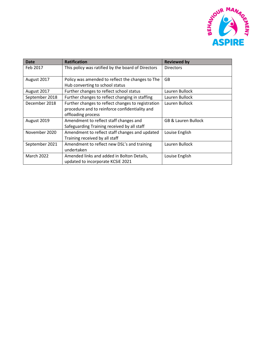

| Date              | <b>Ratification</b>                                | <b>Reviewed by</b>             |
|-------------------|----------------------------------------------------|--------------------------------|
| Feb 2017          | This policy was ratified by the board of Directors | <b>Directors</b>               |
|                   |                                                    |                                |
| August 2017       | Policy was amended to reflect the changes to The   | GB                             |
|                   | Hub converting to school status                    |                                |
| August 2017       | Further changes to reflect school status           | Lauren Bullock                 |
| September 2018    | Further changes to reflect changing in staffing    | Lauren Bullock                 |
| December 2018     | Further changes to reflect changes to registration | Lauren Bullock                 |
|                   | procedure and to reinforce confidentiality and     |                                |
|                   | offloading process                                 |                                |
| August 2019       | Amendment to reflect staff changes and             | <b>GB &amp; Lauren Bullock</b> |
|                   | Safeguarding Training received by all staff        |                                |
| November 2020     | Amendment to reflect staff changes and updated     | Louise English                 |
|                   | Training received by all staff                     |                                |
| September 2021    | Amendment to reflect new DSL's and training        | Lauren Bullock                 |
|                   | undertaken                                         |                                |
| <b>March 2022</b> | Amended links and added in Bolton Details,         | Louise English                 |
|                   | updated to incorporate KCSiE 2021                  |                                |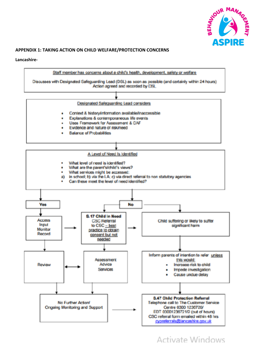

#### **APPENDIX 1: TAKING ACTION ON CHILD WELFARE/PROTECTION CONCERNS**

#### **Lancashire-**



Activate Windows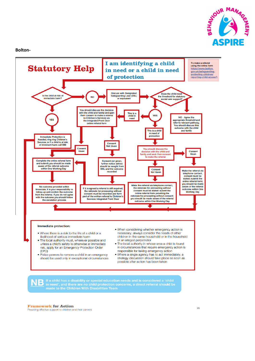

**Bolton-**



If a child has a disability or special education needs and is considered a 'child Β in need', and there are no child protection concerns, a direct referral should be made to the Children With Disabilities Team

#### **Framework for Action**

Providing effective support to children and their parents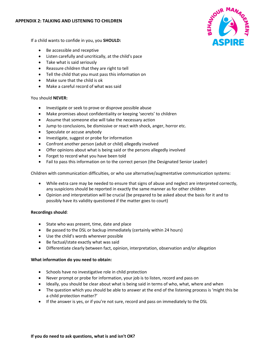#### **APPENDIX 2: TALKING AND LISTENING TO CHILDREN**



If a child wants to confide in you, you **SHOULD:**

- Be accessible and receptive
- Listen carefully and uncritically, at the child's pace
- Take what is said seriously
- Reassure children that they are right to tell
- Tell the child that you must pass this information on
- Make sure that the child is ok
- Make a careful record of what was said

#### You should **NEVER:**

- Investigate or seek to prove or disprove possible abuse
- Make promises about confidentiality or keeping 'secrets' to children
- Assume that someone else will take the necessary action
- Jump to conclusions, be dismissive or react with shock, anger, horror etc.
- Speculate or accuse anybody
- Investigate, suggest or probe for information
- Confront another person (adult or child) allegedly involved
- Offer opinions about what is being said or the persons allegedly involved
- Forget to record what you have been told
- Fail to pass this information on to the correct person (the Designated Senior Leader)

Children with communication difficulties, or who use alternative/augmentative communication systems:

- While extra care may be needed to ensure that signs of abuse and neglect are interpreted correctly, any suspicions should be reported in exactly the same manner as for other children
- Opinion and interpretation will be crucial (be prepared to be asked about the basis for it and to possibly have its validity questioned if the matter goes to court)

#### **Recordings should**:

- State who was present, time, date and place
- Be passed to the DSL or backup immediately (certainly within 24 hours)
- Use the child's words wherever possible
- Be factual/state exactly what was said
- Differentiate clearly between fact, opinion, interpretation, observation and/or allegation

#### **What information do you need to obtain:**

- Schools have no investigative role in child protection
- Never prompt or probe for information, your job is to listen, record and pass on
- Ideally, you should be clear about what is being said in terms of who, what, where and when
- The question which you should be able to answer at the end of the listening process is 'might this be a child protection matter?'
- If the answer is yes, or if you're not sure, record and pass on immediately to the DSL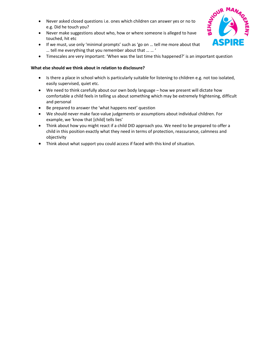- Never asked closed questions i.e. ones which children can answer yes or no to e.g. Did he touch you?
- Never make suggestions about who, how or where someone is alleged to have touched, hit etc
- If we must, use only 'minimal prompts' such as 'go on … tell me more about that … tell me everything that you remember about that … … '
- Timescales are very important: 'When was the last time this happened?' is an important question

#### **What else should we think about in relation to disclosure?**

- Is there a place in school which is particularly suitable for listening to children e.g. not too isolated, easily supervised, quiet etc.
- We need to think carefully about our own body language how we present will dictate how comfortable a child feels in telling us about something which may be extremely frightening, difficult and personal
- Be prepared to answer the 'what happens next' question
- We should never make face-value judgements or assumptions about individual children. For example, we 'know that [child] tells lies'
- Think about how you might react if a child DID approach you. We need to be prepared to offer a child in this position exactly what they need in terms of protection, reassurance, calmness and objectivity
- Think about what support you could access if faced with this kind of situation.

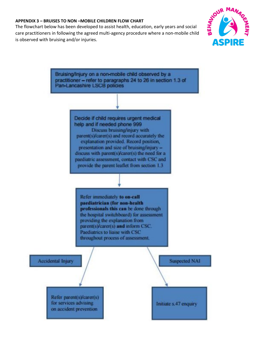#### **APPENDIX 3 – BRUISES TO NON –MOBILE CHILDREN FLOW CHART**

The flowchart below has been developed to assist health, education, early years and social care practitioners in following the agreed multi-agency procedure where a non-mobile child is observed with bruising and/or injuries.